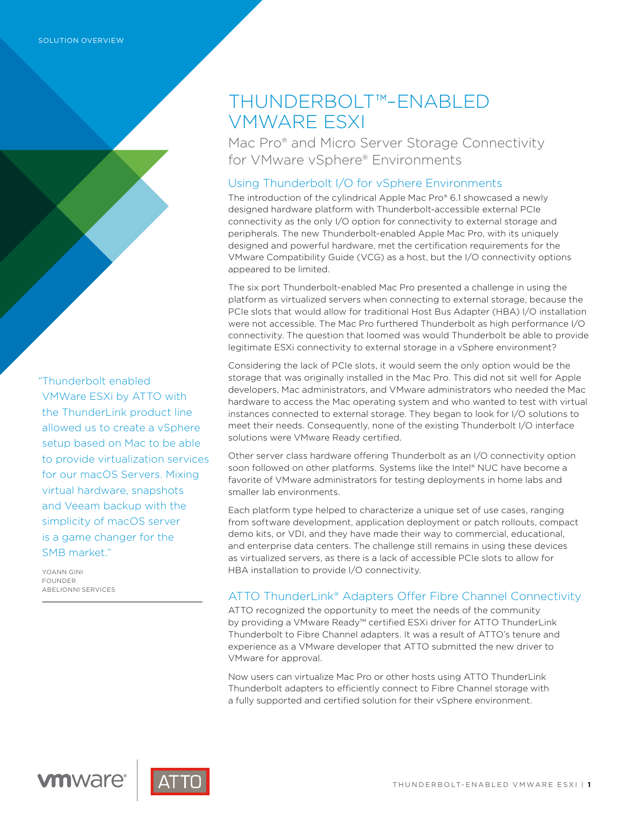*"*Thunderbolt enabled VMWare ESXi by ATTO with the ThunderLink product line allowed us to create a vSphere setup based on Mac to be able to provide virtualization services for our macOS Servers. Mixing virtual hardware, snapshots and Veeam backup with the simplicity of macOS server is a game changer for the SMB market."

YOANN GINI FOUNDER ABELIONNI SERVICES

# THUNDERBOLT™–ENABLED VMWARE ESXI

Mac Pro® and Micro Server Storage Connectivity for VMware vSphere® Environments

## Using Thunderbolt I/O for vSphere Environments

The introduction of the cylindrical Apple Mac Pro® 6.1 showcased a newly designed hardware platform with Thunderbolt-accessible external PCIe connectivity as the only I/O option for connectivity to external storage and peripherals. The new Thunderbolt-enabled Apple Mac Pro, with its uniquely designed and powerful hardware, met the certification requirements for the VMware Compatibility Guide (VCG) as a host, but the I/O connectivity options appeared to be limited.

The six port Thunderbolt-enabled Mac Pro presented a challenge in using the platform as virtualized servers when connecting to external storage, because the PCIe slots that would allow for traditional Host Bus Adapter (HBA) I/O installation were not accessible. The Mac Pro furthered Thunderbolt as high performance I/O connectivity. The question that loomed was would Thunderbolt be able to provide legitimate ESXi connectivity to external storage in a vSphere environment?

Considering the lack of PCIe slots, it would seem the only option would be the storage that was originally installed in the Mac Pro. This did not sit well for Apple developers, Mac administrators, and VMware administrators who needed the Mac hardware to access the Mac operating system and who wanted to test with virtual instances connected to external storage. They began to look for I/O solutions to meet their needs. Consequently, none of the existing Thunderbolt I/O interface solutions were VMware Ready certified.

Other server class hardware offering Thunderbolt as an I/O connectivity option soon followed on other platforms. Systems like the Intel® NUC have become a favorite of VMware administrators for testing deployments in home labs and smaller lab environments.

Each platform type helped to characterize a unique set of use cases, ranging from software development, application deployment or patch rollouts, compact demo kits, or VDI, and they have made their way to commercial, educational, and enterprise data centers. The challenge still remains in using these devices as virtualized servers, as there is a lack of accessible PCIe slots to allow for HBA installation to provide I/O connectivity.

## ATTO ThunderLink® Adapters Offer Fibre Channel Connectivity

ATTO recognized the opportunity to meet the needs of the community by providing a VMware Ready™ certified ESXi driver for ATTO ThunderLink Thunderbolt to Fibre Channel adapters. It was a result of ATTO's tenure and experience as a VMware developer that ATTO submitted the new driver to VMware for approval.

Now users can virtualize Mac Pro or other hosts using ATTO ThunderLink Thunderbolt adapters to efficiently connect to Fibre Channel storage with a fully supported and certified solution for their vSphere environment.